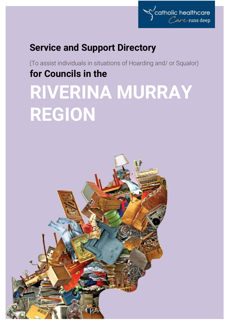

# **Service and Support Directory**

(To assist individuals in situations of Hoarding and/ or Squalor) **for Councils in the RIVERINA MURRAY** 

# **REGION**

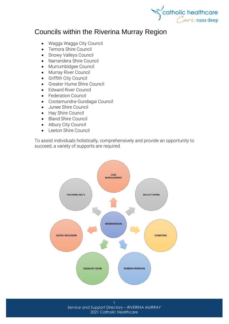

# Councils within the Riverina Murray Region

- [Wagga Wagga City Council](http://www.wagga.nsw.gov.au/)
- [Temora Shire Council](http://www.temora.nsw.gov.au/)
- [Snowy Valleys Council](http://www.snowyvalleys.nsw.gov.au/)
- [Narrandera Shire Council](http://www.narrandera.nsw.gov.au/)
- [Murrumbidgee Council](http://www.murrumbidgee.nsw.gov.au/)
- [Murray River Council](http://www.murrayriver.nsw.gov.au/)
- [Griffith City Council](http://www.griffith.nsw.gov.au/)
- [Greater Hume Shire Council](http://www.greaterhume.nsw.gov.au/)
- [Edward River Council](http://www.edwardriver.nsw.gov.au/)
- [Federation Council](http://www.corowa.nsw.gov.au/)
- [Cootamundra-Gundagai Council](http://www.cgrc.nsw.gov.au/)
- [Junee Shire Council](http://www.junee.nsw.gov.au/)
- [Hay Shire Council](http://www.hay.nsw.gov.au/)
- [Bland Shire Council](http://www.blandshire.nsw.gov.au/)
- [Albury City Council](http://www.alburycity.nsw.gov.au/)
- [Leeton Shire Council](http://www.leeton.nsw.gov.au/)

To assist individuals holistically, comprehensively and provide an opportunity to succeed, a variety of supports are required.



*Service and Support Directory – RIVERINA MURRAY* 2021 Catholic Healthcare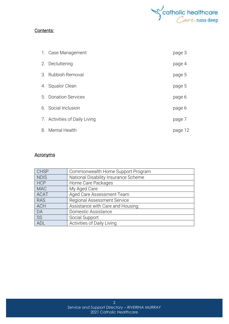

#### Contents:

| 1. Case Management            | page 3  |
|-------------------------------|---------|
| 2. Decluttering               | page 4  |
| 3. Rubbish Removal            | page 5  |
| 4. Squalor Clean              | page 5  |
| 5. Donation Services          | page 6  |
| 6. Social Inclusion           | page 6  |
| 7. Activities of Daily Living | page 7  |
| 8. Mental Health              | page 12 |

#### **Acronyms**

| <b>CHSP</b> | Commonwealth Home Support Program    |
|-------------|--------------------------------------|
| <b>NDIS</b> | National Disability Insurance Scheme |
| <b>HCP</b>  | Home Care Packages                   |
| <b>MAC</b>  | My Aged Care                         |
| <b>ACAT</b> | Aged Care Assessment Team            |
| <b>RAS</b>  | <b>Regional Assessment Service</b>   |
| <b>ACH</b>  | Assistance with Care and Housing     |
| DA          | Domestic Assistance                  |
| <b>SS</b>   | Social Support                       |
| ADL         | Activities of Daily Living           |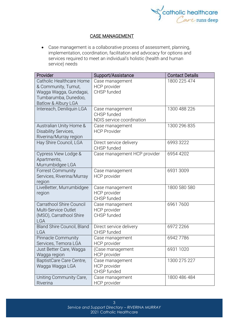

#### CASE MANAGEMENT

• Case management is a collaborative process of assessment, planning, implementation, coordination, facilitation and advocacy for options and services required to meet an individual's holistic (health and human service) needs

| Provider                                                                                                                 | Support/Assistance                                          | <b>Contact Details</b> |
|--------------------------------------------------------------------------------------------------------------------------|-------------------------------------------------------------|------------------------|
| Catholic Healthcare Home<br>& Community, Tumut,<br>Wagga Wagga, Gundagai,<br>Tumbarumba, Dunedoo,<br>Batlow & Albury LGA | Case management<br>HCP provider<br>CHSP funded              | 1800 225 474           |
| Intereach, Deniliquin LGA                                                                                                | Case management<br>CHSP funded<br>NDIS service coordination | 1300 488 226           |
| Australian Unity Home &<br>Disability Services,<br>Riverina/Murray region                                                | Case management<br><b>HCP Provider</b>                      | 1300 296 835           |
| Hay Shire Council, LGA                                                                                                   | Direct service delivery<br>CHSP funded                      | 6993 3222              |
| Cypress View Lodge &<br>Apartments,<br>Murrumbidgee LGA                                                                  | Case management HCP provider                                | 6954 4202              |
| <b>Forrest Community</b><br>Services, Riverina/Murray<br>region                                                          | Case management<br>HCP provider                             | 6931 3009              |
| LiveBetter, Murrumbidgee<br>region                                                                                       | Case management<br><b>HCP</b> provider<br>CHSP funded       | 1800 580 580           |
| <b>Carrathool Shire Council</b><br>Multi-Service Outlet<br>(MSO), Carrathool Shire<br><b>LGA</b>                         | Case management<br>HCP provider<br>CHSP funded              | 69617600               |
| Bland Shire Council, Bland<br><b>LGA</b>                                                                                 | Direct service delivery<br>CHSP funded                      | 6972 2266              |
| <b>Pinnacle Community</b><br>Services, Temora LGA                                                                        | Case management<br><b>HCP</b> provider                      | 69427786               |
| Just Better Care, Wagga<br>Wagga region                                                                                  | (Case management<br><b>HCP</b> provider                     | 6931 1020              |
| BaptistCare Care Centre,<br>Wagga Wagga LGA                                                                              | Case management<br>HCP provider<br>CHSP funded              | 1300 275 227           |
| Uniting Community Care,<br>Riverina                                                                                      | Case management<br>HCP provider                             | 1800 486 484           |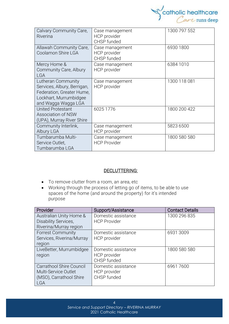

| Calvary Community Care,<br>Riverina                                                                                             | Case management<br>HCP provider<br>CHSP funded | 1300 797 552 |
|---------------------------------------------------------------------------------------------------------------------------------|------------------------------------------------|--------------|
| Allawah Community Care,<br>Coolamon Shire LGA                                                                                   | Case management<br>HCP provider<br>CHSP funded | 6930 1800    |
| Mercy Home &<br>Community Care, Albury<br><b>LGA</b>                                                                            | Case management<br>HCP provider                | 6384 1010    |
| Lutheran Community<br>Services, Albury, Berrigan,<br>Federation, Greater Hume,<br>Lockhart, Murrumbidgee<br>and Wagga Wagga LGA | Case management<br>HCP provider                | 1300 118 081 |
| United Protestant<br>Association of NSW<br>(UPA), Murray River Shire                                                            | 6025 1776                                      | 1800 200 422 |
| Community Interlink,<br>Albury LGA                                                                                              | Case management<br>HCP provider                | 5823 6500    |
| Tumbarumba Multi-<br>Service Outlet,<br>Tumbarumba LGA                                                                          | Case management<br><b>HCP Provider</b>         | 1800 580 580 |

#### DECLUTTERING:

- To remove clutter from a room, an area, etc
- Working through the process of letting go of items, to be able to use spaces of the home (and around the property) for it's intended purpose

| Provider                        | Support/Assistance  | <b>Contact Details</b> |
|---------------------------------|---------------------|------------------------|
| Australian Unity Home &         | Domestic assistance | 1300 296 835           |
| Disability Services,            | <b>HCP Provider</b> |                        |
| Riverina/Murray region          |                     |                        |
| <b>Forrest Community</b>        | Domestic assistance | 6931 3009              |
| Services, Riverina/Murray       | HCP provider        |                        |
| region                          |                     |                        |
| LiveBetter, Murrumbidgee        | Domestic assistance | 1800 580 580           |
| region                          | HCP provider        |                        |
|                                 | CHSP funded         |                        |
| <b>Carrathool Shire Council</b> | Domestic assistance | 69617600               |
| Multi-Service Outlet            | HCP provider        |                        |
| (MSO), Carrathool Shire         | CHSP funded         |                        |
| <b>LGA</b>                      |                     |                        |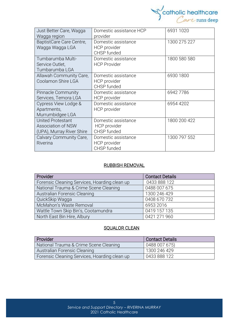

| Just Better Care, Wagga<br>Wagga region                                     | Domestic assistance HCP<br>provider                | 6931 1020    |
|-----------------------------------------------------------------------------|----------------------------------------------------|--------------|
| BaptistCare Care Centre,<br>Wagga Wagga LGA                                 | Domestic assistance<br>HCP provider<br>CHSP funded | 1300 275 227 |
| Tumbarumba Multi-<br>Service Outlet,<br>Tumbarumba LGA                      | Domestic assistance<br><b>HCP Provider</b>         | 1800 580 580 |
| Allawah Community Care,<br>Coolamon Shire LGA                               | Domestic assistance<br>HCP provider<br>CHSP funded | 6930 1800    |
| <b>Pinnacle Community</b><br>Services, Temora LGA                           | Domestic assistance<br>HCP provider                | 69427786     |
| Cypress View Lodge &<br>Apartments,<br>Murrumbidgee LGA                     | Domestic assistance<br>HCP provider                | 6954 4202    |
| <b>United Protestant</b><br>Association of NSW<br>(UPA), Murray River Shire | Domestic assistance<br>HCP provider<br>CHSP funded | 1800 200 422 |
| Calvary Community Care,<br>Riverina                                         | Domestic assistance<br>HCP provider<br>CHSP funded | 1300 797 552 |

#### RUBBISH REMOVAL

| Provider                                      | <b>Contact Details</b> |
|-----------------------------------------------|------------------------|
| Forensic Cleaning Services, Hoarding clean up | 0433 888 122           |
| National Trauma & Crime Scene Cleaning        | 0488 007 675           |
| Australian Forensic Cleaning                  | 1300 246 429           |
| QuickSkip Waqqa                               | 0408 670 732           |
| McMahon's Waste Removal                       | 6953 2016              |
| Wattle Town Skip Bin's, Cootamundra           | 0419 157 135           |
| North East Bin Hire, Albury                   | 0421 271 960           |

#### **SQUALOR CLEAN**

| Provider                                      | <b>Contact Details</b> |
|-----------------------------------------------|------------------------|
| National Trauma & Crime Scene Cleaning        | 0488 007 675)          |
| Australian Forensic Cleaning                  | l 1300 246 429         |
| Forensic Cleaning Services, Hoarding clean up | 0433 888 122           |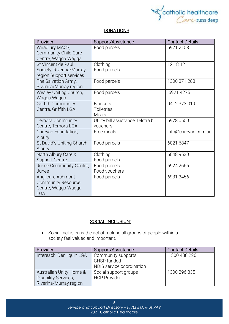

#### **DONATIONS**

| Provider                    | Support/Assistance                   | <b>Contact Details</b> |
|-----------------------------|--------------------------------------|------------------------|
| Wiradjury MACS,             | Food parcels                         | 6921 2108              |
| <b>Community Child Care</b> |                                      |                        |
| Centre, Wagga Wagga         |                                      |                        |
| St Vincent de Paul          | Clothing                             | 12 18 12               |
| Society, Riverina/Murray    | Food parcels                         |                        |
| region Support services     |                                      |                        |
| The Salvation Army,         | Food parcels                         | 1300 371 288           |
| Riverina/Murray region      |                                      |                        |
| Wesley Uniting Church,      | Food parcels                         | 6921 4275              |
| Wagga Wagga                 |                                      |                        |
| Griffith Community          | <b>Blankets</b>                      | 0412 373 019           |
| Centre, Griffith LGA        | <b>Toiletries</b>                    |                        |
|                             | Meals                                |                        |
| Temora Community            | Utility bill assistance Telstra bill | 6978 0500              |
| Centre, Temora LGA          | vouchers                             |                        |
| Carevan Foundation,         | Free meals                           | info@carevan.com.au    |
| Albury                      |                                      |                        |
| St David's Uniting Church   | Food parcels                         | 6021 6847              |
| Albury                      |                                      |                        |
| North Albury Care &         | Clothing                             | 6048 9530              |
| <b>Support Centre</b>       | Food parcels                         |                        |
| Junee Community Centre,     | Food parcels                         | 6924 2666              |
| Junee                       | Food vouchers                        |                        |
| Anglicare Ashmont           | Food parcels                         | 6931 3456              |
| <b>Community Resource</b>   |                                      |                        |
| Centre, Wagga Wagga         |                                      |                        |
| <b>LGA</b>                  |                                      |                        |

#### SOCIAL INCLUSION:

• Social [inclusion](https://www.collinsdictionary.com/dictionary/english/inclusion) is the act of making all groups of people within a society [feel](https://www.collinsdictionary.com/dictionary/english/feel) valued and [important.](https://www.collinsdictionary.com/dictionary/english/important)

| Provider                    | Support/Assistance        | <b>Contact Details</b> |
|-----------------------------|---------------------------|------------------------|
| Intereach, Deniliquin LGA   | Community supports        | 1300 488 226           |
|                             | CHSP funded               |                        |
|                             | NDIS service coordination |                        |
| Australian Unity Home &     | Social support groups     | 1300 296 835           |
| <b>Disability Services,</b> | <b>HCP Provider</b>       |                        |
| Riverina/Murray region      |                           |                        |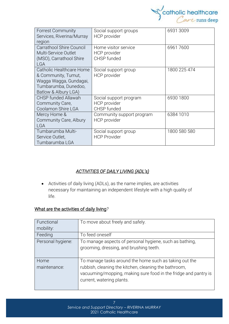

| <b>Forrest Community</b><br>Services, Riverina/Murray<br>region                                                           | Social support groups<br>HCP provider                        | 6931 3009    |
|---------------------------------------------------------------------------------------------------------------------------|--------------------------------------------------------------|--------------|
| <b>Carrathool Shire Council</b><br>Multi-Service Outlet<br>(MSO), Carrathool Shire<br><b>LGA</b>                          | Home visitor service<br>HCP provider<br>CHSP funded          | 69617600     |
| Catholic Healthcare Home<br>& Community, Tumut,<br>Wagga Wagga, Gundagai,<br>Tumbarumba, Dunedoo,<br>Batlow & Albury LGA) | Social support group<br>HCP provider                         | 1800 225 474 |
| <b>CHSP funded Allawah</b><br>Community Care,<br>Coolamon Shire LGA                                                       | Social support program<br><b>HCP</b> provider<br>CHSP funded | 6930 1800    |
| Mercy Home &<br>Community Care, Albury<br><b>LGA</b>                                                                      | Community support program<br>HCP provider                    | 6384 1010    |
| Tumbarumba Multi-<br>Service Outlet,<br>Tumbarumba LGA                                                                    | Social support group<br><b>HCP Provider</b>                  | 1800 580 580 |

# *ACTIVITIES OF DAILY LIVING (ADL's)*

• Activities of daily living (ADLs), as the name implies, are activities necessary for maintaining an independent lifestyle with a high quality of life.

## What are the activities of daily living*?*

| Functional           | To move about freely and safely.                                                                                                                                                                                |
|----------------------|-----------------------------------------------------------------------------------------------------------------------------------------------------------------------------------------------------------------|
| mobility:            |                                                                                                                                                                                                                 |
| Feeding              | To feed oneself                                                                                                                                                                                                 |
| Personal hygiene:    | To manage aspects of personal hygiene, such as bathing,<br>grooming, dressing, and brushing teeth.                                                                                                              |
| Home<br>maintenance: | To manage tasks around the home such as taking out the<br>rubbish, cleaning the kitchen, cleaning the bathroom,<br>vacuuming/mopping, making sure food in the fridge and pantry is<br>current, watering plants. |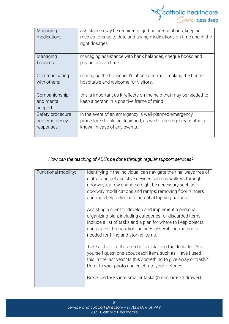

| Managing<br>medications:                | assistance may be required in getting prescriptions, keeping<br>medications up to date and taking medications on time and in the<br>right dosages. |
|-----------------------------------------|----------------------------------------------------------------------------------------------------------------------------------------------------|
| Managing                                | managing assistance with bank balances, cheque books and                                                                                           |
| finances:                               | paying bills on time                                                                                                                               |
| Communicating                           | managing the household's phone and mail, making the home                                                                                           |
| with others:                            | hospitable and welcome for visitors.                                                                                                               |
| Companionship<br>and mental<br>support: | this is important as it reflects on the help that may be needed to<br>keep a person in a positive frame of mind.                                   |
| Safety procedure                        | in the event of an emergency, a well-planned emergency                                                                                             |
| and emergency                           | procedure should be designed; as well as emergency contacts                                                                                        |
| responses:                              | known in case of any events.                                                                                                                       |

## *How can the teaching of ADL's be done through regular support services?*

| Functional mobility: | Identifying if the individual can navigate their hallways free of<br>clutter and get assistive devices such as walkers through<br>doorways; a few changes might be necessary such as<br>doorway modifications and ramps; removing floor runners<br>and rugs helps eliminate potential tripping hazards. |
|----------------------|---------------------------------------------------------------------------------------------------------------------------------------------------------------------------------------------------------------------------------------------------------------------------------------------------------|
|                      | Assisting a client to develop and implement a personal<br>organizing plan, including categories for discarded items.<br>Include a list of tasks and a plan for where to keep objects<br>and papers. Preparation includes assembling materials<br>needed for filing and storing items.                   |
|                      | Take a photo of the area before starting the declutter. Ask<br>yourself questions about each item, such as 'Have I used<br>this in the last year? Is this something to give away or trash?'<br>Refer to your photo and celebrate your victories.                                                        |
|                      | Break big tasks into smaller tasks (bathroom-> 1 drawer)                                                                                                                                                                                                                                                |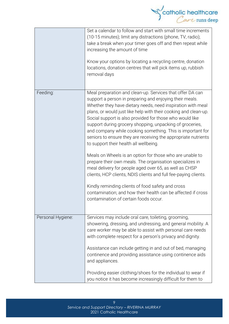

|                   | Set a calendar to follow and start with small time increments<br>(10-15 minutes); limit any distractions (phone, TV, radio);<br>take a break when your timer goes off and then repeat while<br>increasing the amount of time<br>Know your options by locating a recycling centre, donation<br>locations, donation centres that will pick items up, rubbish<br>removal days                                                                                                                                                                                                                                                                                                                                                                                                                                                                                                                                                                                                  |
|-------------------|-----------------------------------------------------------------------------------------------------------------------------------------------------------------------------------------------------------------------------------------------------------------------------------------------------------------------------------------------------------------------------------------------------------------------------------------------------------------------------------------------------------------------------------------------------------------------------------------------------------------------------------------------------------------------------------------------------------------------------------------------------------------------------------------------------------------------------------------------------------------------------------------------------------------------------------------------------------------------------|
| Feeding:          | Meal preparation and clean-up. Services that offer DA can<br>support a person in preparing and enjoying their meals.<br>Whether they have dietary needs, need inspiration with meal<br>plans, or would just like help with their cooking and clean-up.<br>Social support is also provided for those who would like<br>support during grocery shopping, unpacking of groceries,<br>and company while cooking something. This is important for<br>seniors to ensure they are receiving the appropriate nutrients<br>to support their health all wellbeing.<br>Meals on Wheels is an option for those who are unable to<br>prepare their own meals. The organisation specializes in<br>meal delivery for people aged over 65, as well as CHSP<br>clients, HCP clients, NDIS clients and full fee-paying clients.<br>Kindly reminding clients of food safety and cross<br>contamination; and how their health can be affected if cross<br>contamination of certain foods occur. |
| Personal Hygiene: | Services may include oral care, toileting, grooming,<br>showering, dressing, and undressing, and general mobility. A<br>care worker may be able to assist with personal care needs<br>with complete respect for a person's privacy and dignity.<br>Assistance can include getting in and out of bed, managing<br>continence and providing assistance using continence aids<br>and appliances.<br>Providing easier clothing/shoes for the individual to wear if<br>you notice it has become increasingly difficult for them to                                                                                                                                                                                                                                                                                                                                                                                                                                               |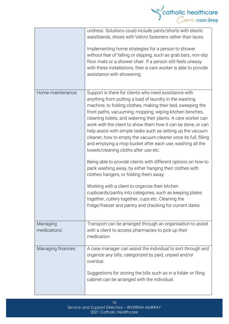

 $1<sub>0</sub>$ *Service and Support Directory – RIVERINA MURRAY* 2021 Catholic Healthcare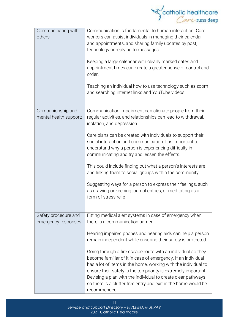

| Communicating with<br>others:               | Communication is fundamental to human interaction. Care<br>workers can assist individuals in managing their calendar<br>and appointments, and sharing family updates by post,<br>technology or replying to messages<br>Keeping a large calendar with clearly marked dates and<br>appointment times can create a greater sense of control and<br>order.<br>Teaching an individual how to use technology such as zoom<br>and searching internet links and YouTube videos |
|---------------------------------------------|------------------------------------------------------------------------------------------------------------------------------------------------------------------------------------------------------------------------------------------------------------------------------------------------------------------------------------------------------------------------------------------------------------------------------------------------------------------------|
|                                             |                                                                                                                                                                                                                                                                                                                                                                                                                                                                        |
| Companionship and<br>mental health support: | Communication impairment can alienate people from their<br>regular activities, and relationships can lead to withdrawal,<br>isolation, and depression.                                                                                                                                                                                                                                                                                                                 |
|                                             | Care plans can be created with individuals to support their<br>social interaction and communication. It is important to<br>understand why a person is experiencing difficulty in<br>communicating and try and lessen the effects.                                                                                                                                                                                                                                      |
|                                             | This could include finding out what a person's interests are<br>and linking them to social groups within the community.                                                                                                                                                                                                                                                                                                                                                |
|                                             | Suggesting ways for a person to express their feelings, such<br>as drawing or keeping journal entries, or meditating as a<br>form of stress relief.                                                                                                                                                                                                                                                                                                                    |
| Safety procedure and                        | Fitting medical alert systems in case of emergency when                                                                                                                                                                                                                                                                                                                                                                                                                |
| emergency responses:                        | there is a communication barrier                                                                                                                                                                                                                                                                                                                                                                                                                                       |
|                                             | Hearing impaired phones and hearing aids can help a person<br>remain independent while ensuring their safety is protected.                                                                                                                                                                                                                                                                                                                                             |
|                                             | Going through a fire escape route with an individual so they<br>become familiar of it in case of emergency. If an individual<br>has a lot of items in the home, working with the individual to<br>ensure their safety is the top priority is extremely important.<br>Devising a plan with the individual to create clear pathways<br>so there is a clutter free entry and exit in the home would be<br>recommended.                                                    |

11 *Service and Support Directory – RIVERINA MURRAY* 2021 Catholic Healthcare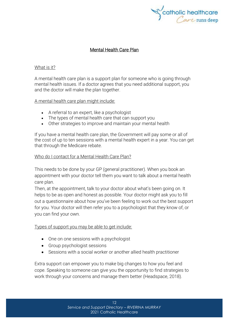

#### Mental Health Care Plan

#### What is it?

A mental health care plan is a support plan for someone who is going through mental health issues. If a doctor agrees that you need additional support, you and the doctor will make the plan together.

A mental health care plan might include:

- A referral to an expert, like a psychologist
- The types of mental health care that can support you
- Other strategies to improve and maintain your mental health

If you have a mental health care plan, the Government will pay some or all of the cost of up to ten sessions with a mental health expert in a year. You can get that through the [Medicare](https://headspace.org.au/blog/how-to-get-a-medicare-card-old/) rebate.

#### Who do I contact for a Mental Health Care Plan?

This needs to be done by your GP (general practitioner). When you book an appointment with your doctor tell them you want to talk about a mental health care plan.

Then, at the appointment, talk to your doctor about what's been going on. It helps to be as open and honest as possible. Your doctor might ask you to fill out a questionnaire about how you've been feeling to work out the best support for you. Your doctor will then refer you to a psychologist that they know of, or you can find your own.

#### Types of support you may be able to get include:

- One on one sessions with a psychologist
- Group psychologist sessions
- Sessions with a social worker or another allied health practitioner

Extra support can empower you to make big changes to how you feel and cope. Speaking to someone can give you the opportunity to find strategies to work through your concerns and manage them better (Headspace, 2018).